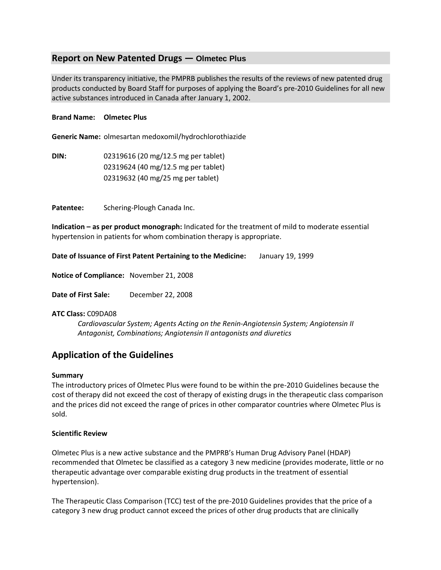## **Report on New Patented Drugs — Olmetec Plus**

Under its transparency initiative, the PMPRB publishes the results of the reviews of new patented drug products conducted by Board Staff for purposes of applying the Board's pre-2010 Guidelines for all new active substances introduced in Canada after January 1, 2002.

### **Brand Name: Olmetec Plus**

**Generic Name:** olmesartan medoxomil/hydrochlorothiazide

**DIN:** 02319616 (20 mg/12.5 mg per tablet) 02319624 (40 mg/12.5 mg per tablet) 02319632 (40 mg/25 mg per tablet)

**Patentee:** Schering-Plough Canada Inc.

**Indication – as per product monograph:** Indicated for the treatment of mild to moderate essential hypertension in patients for whom combination therapy is appropriate.

**Date of Issuance of First Patent Pertaining to the Medicine:** January 19, 1999

**Notice of Compliance:** November 21, 2008

**Date of First Sale:** December 22, 2008

#### **ATC Class:** C09DA08

*Cardiovascular System; Agents Acting on the Renin-Angiotensin System; Angiotensin II Antagonist, Combinations; Angiotensin II antagonists and diuretics*

# **Application of the Guidelines**

#### **Summary**

The introductory prices of Olmetec Plus were found to be within the pre-2010 Guidelines because the cost of therapy did not exceed the cost of therapy of existing drugs in the therapeutic class comparison and the prices did not exceed the range of prices in other comparator countries where Olmetec Plus is sold.

#### **Scientific Review**

Olmetec Plus is a new active substance and the PMPRB's Human Drug Advisory Panel (HDAP) recommended that Olmetec be classified as a category 3 new medicine (provides moderate, little or no therapeutic advantage over comparable existing drug products in the treatment of essential hypertension).

The Therapeutic Class Comparison (TCC) test of the pre-2010 Guidelines provides that the price of a category 3 new drug product cannot exceed the prices of other drug products that are clinically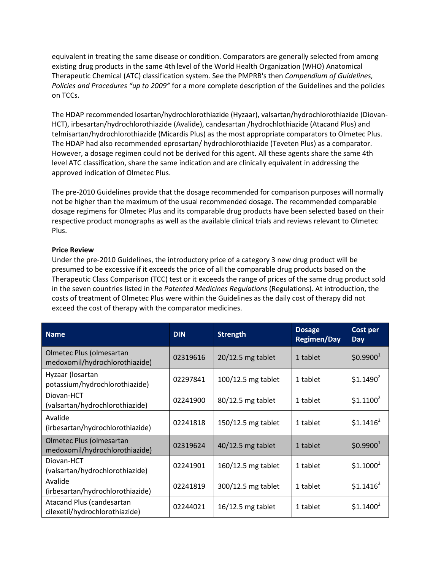equivalent in treating the same disease or condition. Comparators are generally selected from among existing drug products in the same 4th level of the World Health Organization (WHO) Anatomical Therapeutic Chemical (ATC) classification system. See the PMPRB's then *Compendium of Guidelines, Policies and Procedures "up to 2009"* for a more complete description of the Guidelines and the policies on TCCs.

The HDAP recommended losartan/hydrochlorothiazide (Hyzaar), valsartan/hydrochlorothiazide (Diovan-HCT), irbesartan/hydrochlorothiazide (Avalide), candesartan /hydrochlothiazide (Atacand Plus) and telmisartan/hydrochlorothiazide (Micardis Plus) as the most appropriate comparators to Olmetec Plus. The HDAP had also recommended eprosartan/ hydrochlorothiazide (Teveten Plus) as a comparator. However, a dosage regimen could not be derived for this agent. All these agents share the same 4th level ATC classification, share the same indication and are clinically equivalent in addressing the approved indication of Olmetec Plus.

The pre-2010 Guidelines provide that the dosage recommended for comparison purposes will normally not be higher than the maximum of the usual recommended dosage. The recommended comparable dosage regimens for Olmetec Plus and its comparable drug products have been selected based on their respective product monographs as well as the available clinical trials and reviews relevant to Olmetec Plus.

### **Price Review**

Under the pre-2010 Guidelines, the introductory price of a category 3 new drug product will be presumed to be excessive if it exceeds the price of all the comparable drug products based on the Therapeutic Class Comparison (TCC) test or it exceeds the range of prices of the same drug product sold in the seven countries listed in the *Patented Medicines Regulations* (Regulations). At introduction, the costs of treatment of Olmetec Plus were within the Guidelines as the daily cost of therapy did not exceed the cost of therapy with the comparator medicines.

| <b>Name</b>                                                        | <b>DIN</b> | <b>Strength</b>     | <b>Dosage</b><br><b>Regimen/Day</b> | Cost per<br>Day       |
|--------------------------------------------------------------------|------------|---------------------|-------------------------------------|-----------------------|
| Olmetec Plus (olmesartan<br>medoxomil/hydrochlorothiazide)         | 02319616   | $20/12.5$ mg tablet | 1 tablet                            | \$0.9900 <sup>1</sup> |
| Hyzaar (losartan<br>potassium/hydrochlorothiazide)                 | 02297841   | 100/12.5 mg tablet  | 1 tablet                            | \$1.1490 <sup>2</sup> |
| Diovan-HCT<br>(valsartan/hydrochlorothiazide)                      | 02241900   | 80/12.5 mg tablet   | 1 tablet                            | \$1.1100 <sup>2</sup> |
| Avalide<br>(irbesartan/hydrochlorothiazide)                        | 02241818   | 150/12.5 mg tablet  | 1 tablet                            | $$1.1416^2$           |
| Olmetec Plus (olmesartan<br>medoxomil/hydrochlorothiazide)         | 02319624   | $40/12.5$ mg tablet | 1 tablet                            | \$0.9900 <sup>1</sup> |
| Diovan-HCT<br>(valsartan/hydrochlorothiazide)                      | 02241901   | 160/12.5 mg tablet  | 1 tablet                            | $$1.1000^2$           |
| Avalide<br>(irbesartan/hydrochlorothiazide)                        | 02241819   | 300/12.5 mg tablet  | 1 tablet                            | $$1.1416^2$           |
| <b>Atacand Plus (candesartan</b><br>cilexetil/hydrochlorothiazide) | 02244021   | $16/12.5$ mg tablet | 1 tablet                            | \$1.1400 <sup>2</sup> |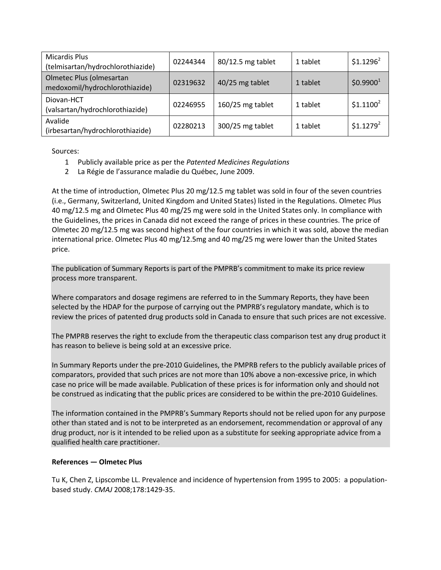| <b>Micardis Plus</b><br>(telmisartan/hydrochlorothiazide)  | 02244344 | 80/12.5 mg tablet | 1 tablet | $$1.1296^2$           |
|------------------------------------------------------------|----------|-------------------|----------|-----------------------|
| Olmetec Plus (olmesartan<br>medoxomil/hydrochlorothiazide) | 02319632 | 40/25 mg tablet   | 1 tablet | \$0.9900 <sup>1</sup> |
| Diovan-HCT<br>(valsartan/hydrochlorothiazide)              | 02246955 | 160/25 mg tablet  | 1 tablet | $$1.1100^2$           |
| Avalide<br>(irbesartan/hydrochlorothiazide)                | 02280213 | 300/25 mg tablet  | 1 tablet | \$1.1279 <sup>2</sup> |

Sources:

- 1 Publicly available price as per the *Patented Medicines Regulations*
- 2 La Régie de l'assurance maladie du Québec, June 2009.

At the time of introduction, Olmetec Plus 20 mg/12.5 mg tablet was sold in four of the seven countries (i.e., Germany, Switzerland, United Kingdom and United States) listed in the Regulations. Olmetec Plus 40 mg/12.5 mg and Olmetec Plus 40 mg/25 mg were sold in the United States only. In compliance with the Guidelines, the prices in Canada did not exceed the range of prices in these countries. The price of Olmetec 20 mg/12.5 mg was second highest of the four countries in which it was sold, above the median international price. Olmetec Plus 40 mg/12.5mg and 40 mg/25 mg were lower than the United States price.

The publication of Summary Reports is part of the PMPRB's commitment to make its price review process more transparent.

Where comparators and dosage regimens are referred to in the Summary Reports, they have been selected by the HDAP for the purpose of carrying out the PMPRB's regulatory mandate, which is to review the prices of patented drug products sold in Canada to ensure that such prices are not excessive.

The PMPRB reserves the right to exclude from the therapeutic class comparison test any drug product it has reason to believe is being sold at an excessive price.

In Summary Reports under the pre-2010 Guidelines, the PMPRB refers to the publicly available prices of comparators, provided that such prices are not more than 10% above a non-excessive price, in which case no price will be made available. Publication of these prices is for information only and should not be construed as indicating that the public prices are considered to be within the pre-2010 Guidelines.

The information contained in the PMPRB's Summary Reports should not be relied upon for any purpose other than stated and is not to be interpreted as an endorsement, recommendation or approval of any drug product, nor is it intended to be relied upon as a substitute for seeking appropriate advice from a qualified health care practitioner.

## **References — Olmetec Plus**

Tu K, Chen Z, Lipscombe LL. Prevalence and incidence of hypertension from 1995 to 2005: a populationbased study. *CMAJ* 2008;178:1429-35.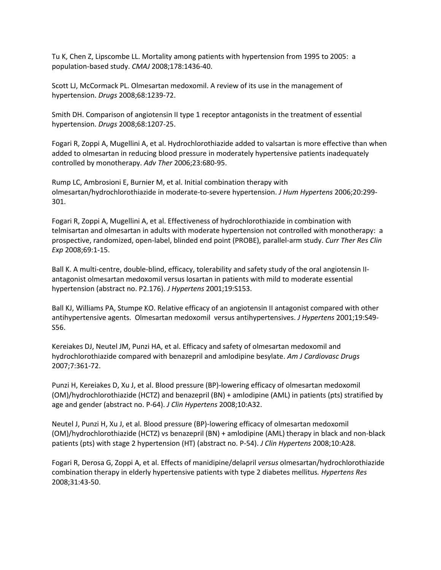Tu K, Chen Z, Lipscombe LL. Mortality among patients with hypertension from 1995 to 2005: a population-based study. *CMAJ* 2008;178:1436-40.

Scott LJ, McCormack PL. Olmesartan medoxomil. A review of its use in the management of hypertension. *Drugs* 2008;68:1239-72.

Smith DH. Comparison of angiotensin II type 1 receptor antagonists in the treatment of essential hypertension. *Drugs* 2008;68:1207-25.

Fogari R, Zoppi A, Mugellini A, et al. Hydrochlorothiazide added to valsartan is more effective than when added to olmesartan in reducing blood pressure in moderately hypertensive patients inadequately controlled by monotherapy. *Adv Ther* 2006;23:680-95.

Rump LC, Ambrosioni E, Burnier M, et al. Initial combination therapy with olmesartan/hydrochlorothiazide in moderate-to-severe hypertension. *J Hum Hypertens* 2006;20:299- 301.

Fogari R, Zoppi A, Mugellini A, et al. Effectiveness of hydrochlorothiazide in combination with telmisartan and olmesartan in adults with moderate hypertension not controlled with monotherapy: a prospective, randomized, open-label, blinded end point (PROBE), parallel-arm study. *Curr Ther Res Clin Exp* 2008;69:1-15.

Ball K. A multi-centre, double-blind, efficacy, tolerability and safety study of the oral angiotensin IIantagonist olmesartan medoxomil versus losartan in patients with mild to moderate essential hypertension (abstract no. P2.176). *J Hypertens* 2001;19:S153.

Ball KJ, Williams PA, Stumpe KO. Relative efficacy of an angiotensin II antagonist compared with other antihypertensive agents. Olmesartan medoxomil versus antihypertensives. *J Hypertens* 2001;19:S49- S56.

Kereiakes DJ, Neutel JM, Punzi HA, et al. Efficacy and safety of olmesartan medoxomil and hydrochlorothiazide compared with benazepril and amlodipine besylate. *Am J Cardiovasc Drugs* 2007;7:361-72.

Punzi H, Kereiakes D, Xu J, et al. Blood pressure (BP)-lowering efficacy of olmesartan medoxomil (OM)/hydrochlorothiazide (HCTZ) and benazepril (BN) + amlodipine (AML) in patients (pts) stratified by age and gender (abstract no. P-64). *J Clin Hypertens* 2008;10:A32.

Neutel J, Punzi H, Xu J, et al. Blood pressure (BP)-lowering efficacy of olmesartan medoxomil (OM)/hydrochlorothiazide (HCTZ) vs benazepril (BN) + amlodipine (AML) therapy in black and non-black patients (pts) with stage 2 hypertension (HT) (abstract no. P-54). *J Clin Hypertens* 2008;10:A28.

Fogari R, Derosa G, Zoppi A, et al. Effects of manidipine/delapril *versus* olmesartan/hydrochlorothiazide combination therapy in elderly hypertensive patients with type 2 diabetes mellitus*. Hypertens Res* 2008;31:43-50.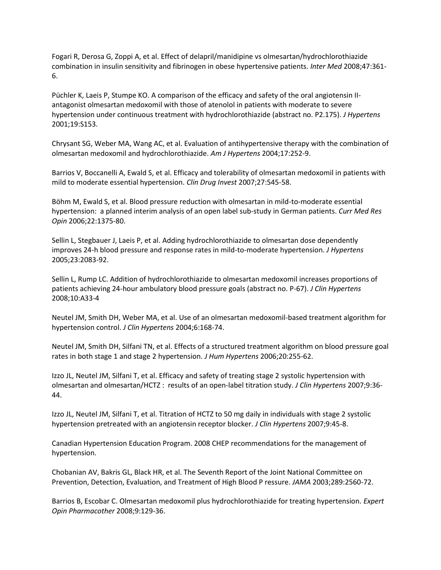Fogari R, Derosa G, Zoppi A, et al. Effect of delapril/manidipine vs olmesartan/hydrochlorothiazide combination in insulin sensitivity and fibrinogen in obese hypertensive patients. *Inter Med* 2008;47:361- 6.

Püchler K, Laeis P, Stumpe KO. A comparison of the efficacy and safety of the oral angiotensin IIantagonist olmesartan medoxomil with those of atenolol in patients with moderate to severe hypertension under continuous treatment with hydrochlorothiazide (abstract no. P2.175). *J Hypertens* 2001;19:S153.

Chrysant SG, Weber MA, Wang AC, et al. Evaluation of antihypertensive therapy with the combination of olmesartan medoxomil and hydrochlorothiazide. *Am J Hypertens* 2004;17:252-9.

Barrios V, Boccanelli A, Ewald S, et al. Efficacy and tolerability of olmesartan medoxomil in patients with mild to moderate essential hypertension. *Clin Drug Invest* 2007;27:545-58.

Böhm M, Ewald S, et al. Blood pressure reduction with olmesartan in mild-to-moderate essential hypertension: a planned interim analysis of an open label sub-study in German patients. *Curr Med Res Opin* 2006;22:1375-80.

Sellin L, Stegbauer J, Laeis P, et al. Adding hydrochlorothiazide to olmesartan dose dependently improves 24-h blood pressure and response rates in mild-to-moderate hypertension. *J Hypertens* 2005;23:2083-92.

Sellin L, Rump LC. Addition of hydrochlorothiazide to olmesartan medoxomil increases proportions of patients achieving 24-hour ambulatory blood pressure goals (abstract no. P-67). *J Clin Hypertens* 2008;10:A33-4

Neutel JM, Smith DH, Weber MA, et al. Use of an olmesartan medoxomil-based treatment algorithm for hypertension control. *J Clin Hypertens* 2004;6:168-74.

Neutel JM, Smith DH, Silfani TN, et al. Effects of a structured treatment algorithm on blood pressure goal rates in both stage 1 and stage 2 hypertension. *J Hum Hypertens* 2006;20:255-62.

Izzo JL, Neutel JM, Silfani T, et al. Efficacy and safety of treating stage 2 systolic hypertension with olmesartan and olmesartan/HCTZ : results of an open-label titration study. *J Clin Hypertens* 2007;9:36- 44.

Izzo JL, Neutel JM, Silfani T, et al. Titration of HCTZ to 50 mg daily in individuals with stage 2 systolic hypertension pretreated with an angiotensin receptor blocker. *J Clin Hypertens* 2007;9:45-8.

Canadian Hypertension Education Program. 2008 CHEP recommendations for the management of hypertension.

Chobanian AV, Bakris GL, Black HR, et al. The Seventh Report of the Joint National Committee on Prevention, Detection, Evaluation, and Treatment of High Blood P ressure. *JAMA* 2003;289:2560-72.

Barrios B, Escobar C. Olmesartan medoxomil plus hydrochlorothiazide for treating hypertension. *Expert Opin Pharmacother* 2008;9:129-36.